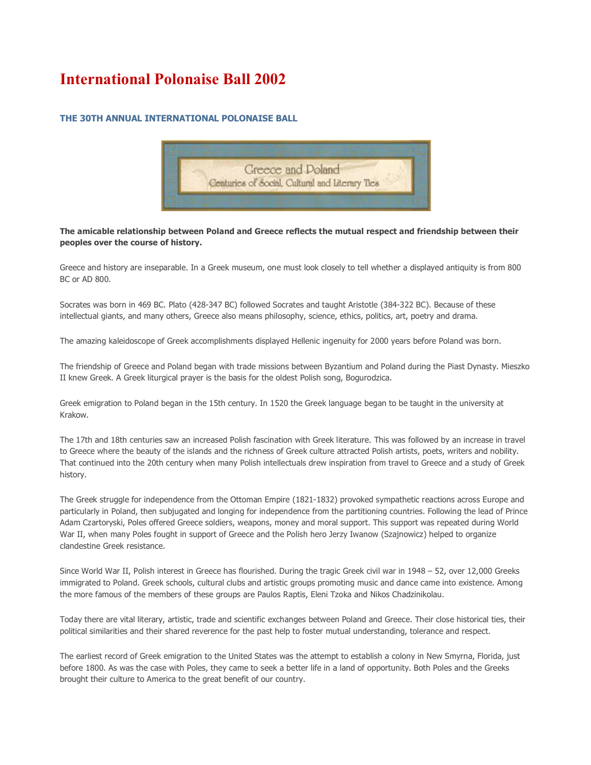# **International Polonaise Ball 2002**

# **THE 30TH ANNUAL INTERNATIONAL POLONAISE BALL**



**The amicable relationship between Poland and Greece reflects the mutual respect and friendship between their peoples over the course of history.**

Greece and history are inseparable. In a Greek museum, one must look closely to tell whether a displayed antiquity is from 800 BC or AD 800.

Socrates was born in 469 BC. Plato (428-347 BC) followed Socrates and taught Aristotle (384-322 BC). Because of these intellectual giants, and many others, Greece also means philosophy, science, ethics, politics, art, poetry and drama.

The amazing kaleidoscope of Greek accomplishments displayed Hellenic ingenuity for 2000 years before Poland was born.

The friendship of Greece and Poland began with trade missions between Byzantium and Poland during the Piast Dynasty. Mieszko II knew Greek. A Greek liturgical prayer is the basis for the oldest Polish song, Bogurodzica.

Greek emigration to Poland began in the 15th century. In 1520 the Greek language began to be taught in the university at Krakow.

The 17th and 18th centuries saw an increased Polish fascination with Greek literature. This was followed by an increase in travel to Greece where the beauty of the islands and the richness of Greek culture attracted Polish artists, poets, writers and nobility. That continued into the 20th century when many Polish intellectuals drew inspiration from travel to Greece and a study of Greek history.

The Greek struggle for independence from the Ottoman Empire (1821-1832) provoked sympathetic reactions across Europe and particularly in Poland, then subjugated and longing for independence from the partitioning countries. Following the lead of Prince Adam Czartoryski, Poles offered Greece soldiers, weapons, money and moral support. This support was repeated during World War II, when many Poles fought in support of Greece and the Polish hero Jerzy Iwanow (Szajnowicz) helped to organize clandestine Greek resistance.

Since World War II, Polish interest in Greece has flourished. During the tragic Greek civil war in 1948 – 52, over 12,000 Greeks immigrated to Poland. Greek schools, cultural clubs and artistic groups promoting music and dance came into existence. Among the more famous of the members of these groups are Paulos Raptis, Eleni Tzoka and Nikos Chadzinikolau.

Today there are vital literary, artistic, trade and scientific exchanges between Poland and Greece. Their close historical ties, their political similarities and their shared reverence for the past help to foster mutual understanding, tolerance and respect.

The earliest record of Greek emigration to the United States was the attempt to establish a colony in New Smyrna, Florida, just before 1800. As was the case with Poles, they came to seek a better life in a land of opportunity. Both Poles and the Greeks brought their culture to America to the great benefit of our country.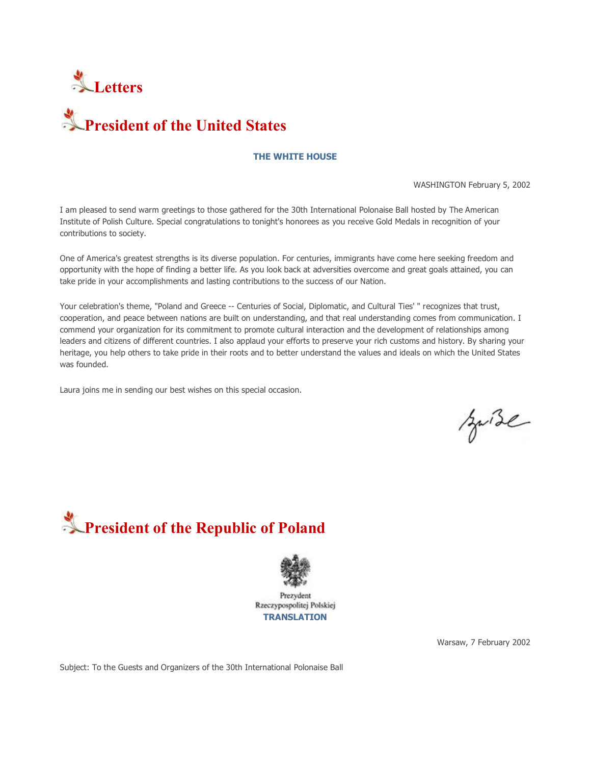



# **THE WHITE HOUSE**

WASHINGTON February 5, 2002

I am pleased to send warm greetings to those gathered for the 30th International Polonaise Ball hosted by The American Institute of Polish Culture. Special congratulations to tonight's honorees as you receive Gold Medals in recognition of your contributions to society.

One of America's greatest strengths is its diverse population. For centuries, immigrants have come here seeking freedom and opportunity with the hope of finding a better life. As you look back at adversities overcome and great goals attained, you can take pride in your accomplishments and lasting contributions to the success of our Nation.

Your celebration's theme, "Poland and Greece -- Centuries of Social, Diplomatic, and Cultural Ties' " recognizes that trust, cooperation, and peace between nations are built on understanding, and that real understanding comes from communication. I commend your organization for its commitment to promote cultural interaction and the development of relationships among leaders and citizens of different countries. I also applaud your efforts to preserve your rich customs and history. By sharing your heritage, you help others to take pride in their roots and to better understand the values and ideals on which the United States was founded.

Laura joins me in sending our best wishes on this special occasion.

suise





Prezydent Rzeczypospolitej Polskiej **TRANSLATION**

Warsaw, 7 February 2002

Subject: To the Guests and Organizers of the 30th International Polonaise Ball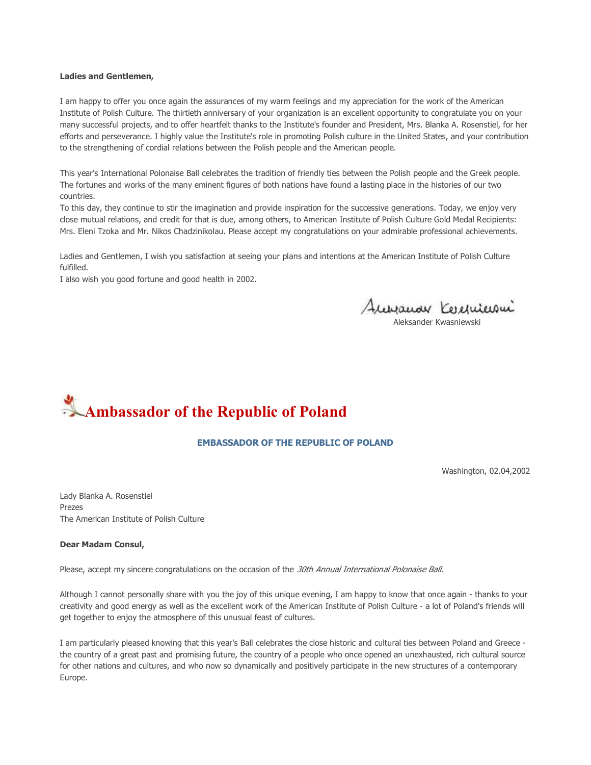#### **Ladies and Gentlemen,**

I am happy to offer you once again the assurances of my warm feelings and my appreciation for the work of the American Institute of Polish Culture. The thirtieth anniversary of your organization is an excellent opportunity to congratulate you on your many successful projects, and to offer heartfelt thanks to the Institute's founder and President, Mrs. Blanka A. Rosenstiel, for her efforts and perseverance. I highly value the Institute's role in promoting Polish culture in the United States, and your contribution to the strengthening of cordial relations between the Polish people and the American people.

This year's International Polonaise Ball celebrates the tradition of friendly ties between the Polish people and the Greek people. The fortunes and works of the many eminent figures of both nations have found a lasting place in the histories of our two countries.

To this day, they continue to stir the imagination and provide inspiration for the successive generations. Today, we enjoy very close mutual relations, and credit for that is due, among others, to American Institute of Polish Culture Gold Medal Recipients: Mrs. Eleni Tzoka and Mr. Nikos Chadzinikolau. Please accept my congratulations on your admirable professional achievements.

Ladies and Gentlemen, I wish you satisfaction at seeing your plans and intentions at the American Institute of Polish Culture fulfilled.

I also wish you good fortune and good health in 2002.

Aussauar Kerenicioni

Aleksander Kwasniewski

# **Ambassador of the Republic of Poland**

## **EMBASSADOR OF THE REPUBLIC OF POLAND**

Washington, 02.04,2002

Lady Blanka A. Rosenstiel Prezes The American Institute of Polish Culture

#### **Dear Madam Consul,**

Please, accept my sincere congratulations on the occasion of the 30th Annual International Polonaise Ball.

Although I cannot personally share with you the joy of this unique evening, I am happy to know that once again - thanks to your creativity and good energy as well as the excellent work of the American Institute of Polish Culture - a lot of Poland's friends will get together to enjoy the atmosphere of this unusual feast of cultures.

I am particularly pleased knowing that this year's Ball celebrates the close historic and cultural ties between Poland and Greece the country of a great past and promising future, the country of a people who once opened an unexhausted, rich cultural source for other nations and cultures, and who now so dynamically and positively participate in the new structures of a contemporary Europe.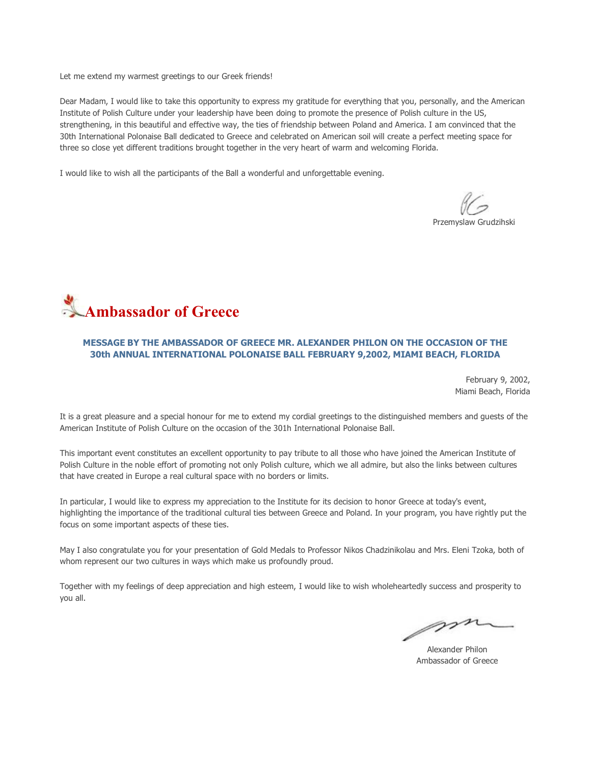Let me extend my warmest greetings to our Greek friends!

Dear Madam, I would like to take this opportunity to express my gratitude for everything that you, personally, and the American Institute of Polish Culture under your leadership have been doing to promote the presence of Polish culture in the US, strengthening, in this beautiful and effective way, the ties of friendship between Poland and America. I am convinced that the 30th International Polonaise Ball dedicated to Greece and celebrated on American soil will create a perfect meeting space for three so close yet different traditions brought together in the very heart of warm and welcoming Florida.

I would like to wish all the participants of the Ball a wonderful and unforgettable evening.

Przemyslaw Grudzihski



## **MESSAGE BY THE AMBASSADOR OF GREECE MR. ALEXANDER PHILON ON THE OCCASION OF THE 30th ANNUAL INTERNATIONAL POLONAISE BALL FEBRUARY 9,2002, MIAMI BEACH, FLORIDA**

February 9, 2002, Miami Beach, Florida

It is a great pleasure and a special honour for me to extend my cordial greetings to the distinguished members and guests of the American Institute of Polish Culture on the occasion of the 301h International Polonaise Ball.

This important event constitutes an excellent opportunity to pay tribute to all those who have joined the American Institute of Polish Culture in the noble effort of promoting not only Polish culture, which we all admire, but also the links between cultures that have created in Europe a real cultural space with no borders or limits.

In particular, I would like to express my appreciation to the Institute for its decision to honor Greece at today's event, highlighting the importance of the traditional cultural ties between Greece and Poland. In your program, you have rightly put the focus on some important aspects of these ties.

May I also congratulate you for your presentation of Gold Medals to Professor Nikos Chadzinikolau and Mrs. Eleni Tzoka, both of whom represent our two cultures in ways which make us profoundly proud.

Together with my feelings of deep appreciation and high esteem, I would like to wish wholeheartedly success and prosperity to you all.

m

Alexander Philon Ambassador of Greece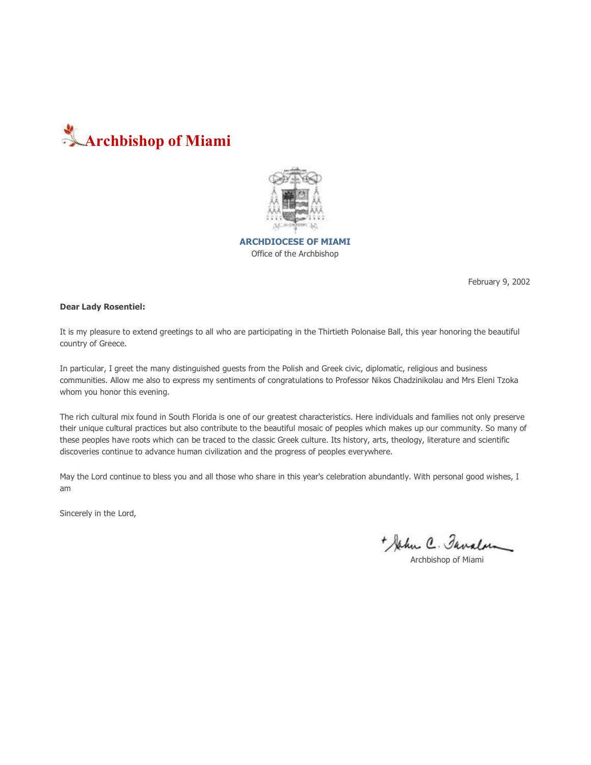



**ARCHDIOCESE OF MIAMI** Office of the Archbishop

February 9, 2002

#### **Dear Lady Rosentiel:**

It is my pleasure to extend greetings to all who are participating in the Thirtieth Polonaise Ball, this year honoring the beautiful country of Greece.

In particular, I greet the many distinguished guests from the Polish and Greek civic, diplomatic, religious and business communities. Allow me also to express my sentiments of congratulations to Professor Nikos Chadzinikolau and Mrs Eleni Tzoka whom you honor this evening.

The rich cultural mix found in South Florida is one of our greatest characteristics. Here individuals and families not only preserve their unique cultural practices but also contribute to the beautiful mosaic of peoples which makes up our community. So many of these peoples have roots which can be traced to the classic Greek culture. Its history, arts, theology, literature and scientific discoveries continue to advance human civilization and the progress of peoples everywhere.

May the Lord continue to bless you and all those who share in this year's celebration abundantly. With personal good wishes, I am

Sincerely in the Lord,

+ John C. Favalow

Archbishop of Miami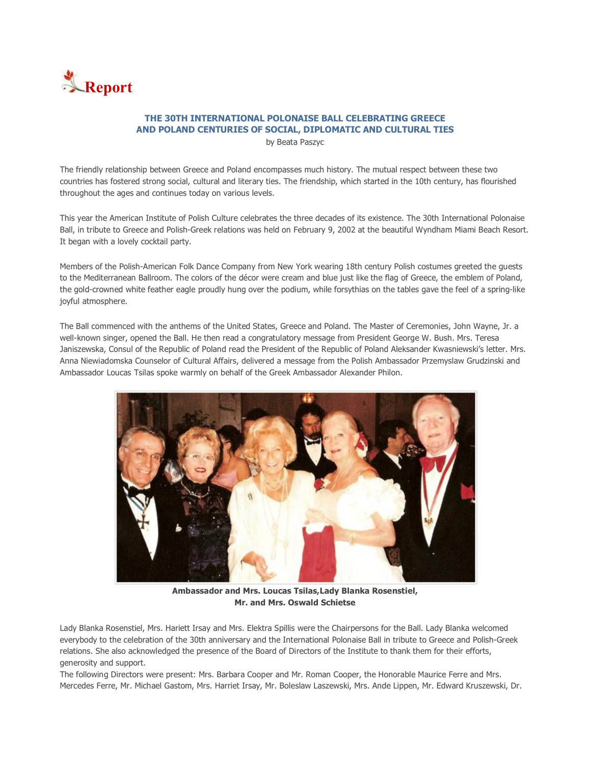

# **THE 30TH INTERNATIONAL POLONAISE BALL CELEBRATING GREECE AND POLAND CENTURIES OF SOCIAL, DIPLOMATIC AND CULTURAL TIES**

by Beata Paszyc

The friendly relationship between Greece and Poland encompasses much history. The mutual respect between these two countries has fostered strong social, cultural and literary ties. The friendship, which started in the 10th century, has flourished throughout the ages and continues today on various levels.

This year the American Institute of Polish Culture celebrates the three decades of its existence. The 30th International Polonaise Ball, in tribute to Greece and Polish-Greek relations was held on February 9, 2002 at the beautiful Wyndham Miami Beach Resort. It began with a lovely cocktail party.

Members of the Polish-American Folk Dance Company from New York wearing 18th century Polish costumes greeted the guests to the Mediterranean Ballroom. The colors of the décor were cream and blue just like the flag of Greece, the emblem of Poland, the gold-crowned white feather eagle proudly hung over the podium, while forsythias on the tables gave the feel of a spring-like joyful atmosphere.

The Ball commenced with the anthems of the United States, Greece and Poland. The Master of Ceremonies, John Wayne, Jr. a well-known singer, opened the Ball. He then read a congratulatory message from President George W. Bush. Mrs. Teresa Janiszewska, Consul of the Republic of Poland read the President of the Republic of Poland Aleksander Kwasniewski's letter. Mrs. Anna Niewiadomska Counselor of Cultural Affairs, delivered a message from the Polish Ambassador Przemyslaw Grudzinski and Ambassador Loucas Tsilas spoke warmly on behalf of the Greek Ambassador Alexander Philon.



**Ambassador and Mrs. Loucas Tsilas,Lady Blanka Rosenstiel, Mr. and Mrs. Oswald Schietse** 

Lady Blanka Rosenstiel, Mrs. Hariett Irsay and Mrs. Elektra Spillis were the Chairpersons for the Ball. Lady Blanka welcomed everybody to the celebration of the 30th anniversary and the International Polonaise Ball in tribute to Greece and Polish-Greek relations. She also acknowledged the presence of the Board of Directors of the Institute to thank them for their efforts, generosity and support.

The following Directors were present: Mrs. Barbara Cooper and Mr. Roman Cooper, the Honorable Maurice Ferre and Mrs. Mercedes Ferre, Mr. Michael Gastom, Mrs. Harriet Irsay, Mr. Boleslaw Laszewski, Mrs. Ande Lippen, Mr. Edward Kruszewski, Dr.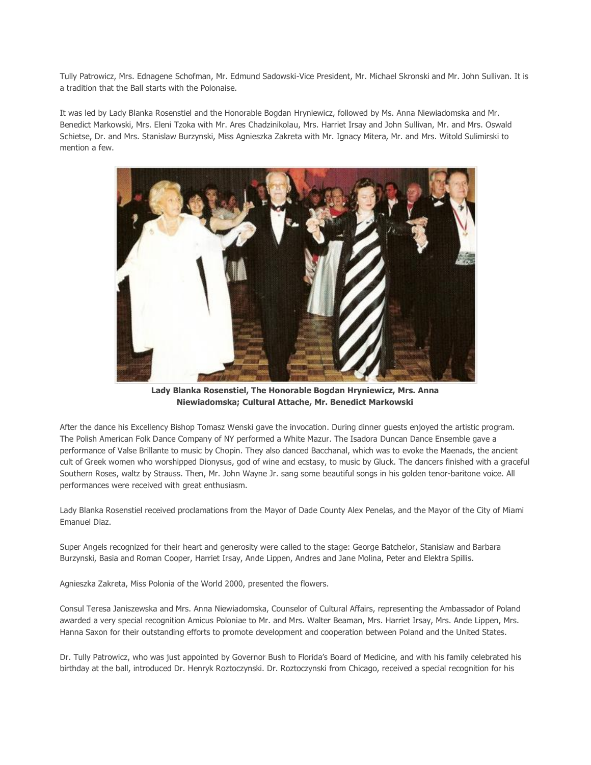Tully Patrowicz, Mrs. Ednagene Schofman, Mr. Edmund Sadowski-Vice President, Mr. Michael Skronski and Mr. John Sullivan. It is a tradition that the Ball starts with the Polonaise.

It was led by Lady Blanka Rosenstiel and the Honorable Bogdan Hryniewicz, followed by Ms. Anna Niewiadomska and Mr. Benedict Markowski, Mrs. Eleni Tzoka with Mr. Ares Chadzinikolau, Mrs. Harriet Irsay and John Sullivan, Mr. and Mrs. Oswald Schietse, Dr. and Mrs. Stanislaw Burzynski, Miss Agnieszka Zakreta with Mr. Ignacy Mitera, Mr. and Mrs. Witold Sulimirski to mention a few.



**Lady Blanka Rosenstiel, The Honorable Bogdan Hryniewicz, Mrs. Anna Niewiadomska; Cultural Attache, Mr. Benedict Markowski** 

After the dance his Excellency Bishop Tomasz Wenski gave the invocation. During dinner guests enjoyed the artistic program. The Polish American Folk Dance Company of NY performed a White Mazur. The Isadora Duncan Dance Ensemble gave a performance of Valse Brillante to music by Chopin. They also danced Bacchanal, which was to evoke the Maenads, the ancient cult of Greek women who worshipped Dionysus, god of wine and ecstasy, to music by Gluck. The dancers finished with a graceful Southern Roses, waltz by Strauss. Then, Mr. John Wayne Jr. sang some beautiful songs in his golden tenor-baritone voice. All performances were received with great enthusiasm.

Lady Blanka Rosenstiel received proclamations from the Mayor of Dade County Alex Penelas, and the Mayor of the City of Miami Emanuel Diaz.

Super Angels recognized for their heart and generosity were called to the stage: George Batchelor, Stanislaw and Barbara Burzynski, Basia and Roman Cooper, Harriet Irsay, Ande Lippen, Andres and Jane Molina, Peter and Elektra Spillis.

Agnieszka Zakreta, Miss Polonia of the World 2000, presented the flowers.

Consul Teresa Janiszewska and Mrs. Anna Niewiadomska, Counselor of Cultural Affairs, representing the Ambassador of Poland awarded a very special recognition Amicus Poloniae to Mr. and Mrs. Walter Beaman, Mrs. Harriet Irsay, Mrs. Ande Lippen, Mrs. Hanna Saxon for their outstanding efforts to promote development and cooperation between Poland and the United States.

Dr. Tully Patrowicz, who was just appointed by Governor Bush to Florida's Board of Medicine, and with his family celebrated his birthday at the ball, introduced Dr. Henryk Roztoczynski. Dr. Roztoczynski from Chicago, received a special recognition for his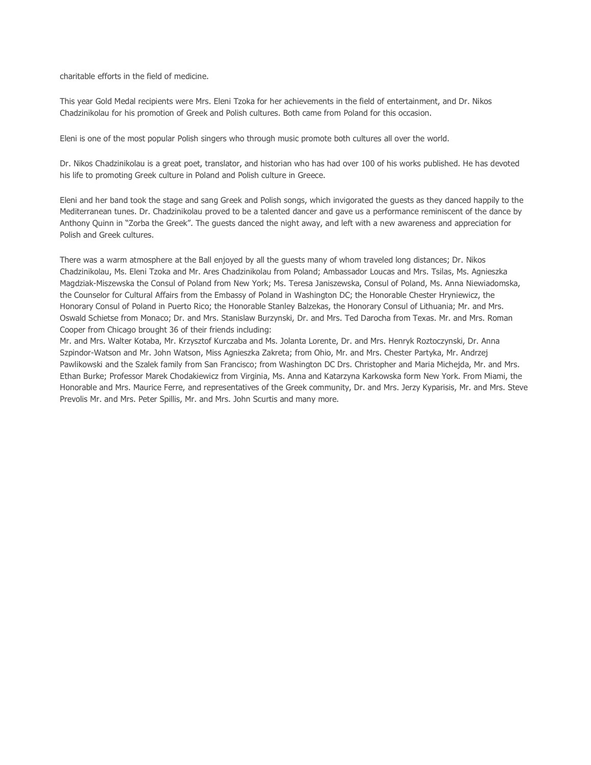charitable efforts in the field of medicine.

This year Gold Medal recipients were Mrs. Eleni Tzoka for her achievements in the field of entertainment, and Dr. Nikos Chadzinikolau for his promotion of Greek and Polish cultures. Both came from Poland for this occasion.

Eleni is one of the most popular Polish singers who through music promote both cultures all over the world.

Dr. Nikos Chadzinikolau is a great poet, translator, and historian who has had over 100 of his works published. He has devoted his life to promoting Greek culture in Poland and Polish culture in Greece.

Eleni and her band took the stage and sang Greek and Polish songs, which invigorated the guests as they danced happily to the Mediterranean tunes. Dr. Chadzinikolau proved to be a talented dancer and gave us a performance reminiscent of the dance by Anthony Quinn in "Zorba the Greek". The guests danced the night away, and left with a new awareness and appreciation for Polish and Greek cultures.

There was a warm atmosphere at the Ball enjoyed by all the guests many of whom traveled long distances; Dr. Nikos Chadzinikolau, Ms. Eleni Tzoka and Mr. Ares Chadzinikolau from Poland; Ambassador Loucas and Mrs. Tsilas, Ms. Agnieszka Magdziak-Miszewska the Consul of Poland from New York; Ms. Teresa Janiszewska, Consul of Poland, Ms. Anna Niewiadomska, the Counselor for Cultural Affairs from the Embassy of Poland in Washington DC; the Honorable Chester Hryniewicz, the Honorary Consul of Poland in Puerto Rico; the Honorable Stanley Balzekas, the Honorary Consul of Lithuania; Mr. and Mrs. Oswald Schietse from Monaco; Dr. and Mrs. Stanislaw Burzynski, Dr. and Mrs. Ted Darocha from Texas. Mr. and Mrs. Roman Cooper from Chicago brought 36 of their friends including:

Mr. and Mrs. Walter Kotaba, Mr. Krzysztof Kurczaba and Ms. Jolanta Lorente, Dr. and Mrs. Henryk Roztoczynski, Dr. Anna Szpindor-Watson and Mr. John Watson, Miss Agnieszka Zakreta; from Ohio, Mr. and Mrs. Chester Partyka, Mr. Andrzej Pawlikowski and the Szalek family from San Francisco; from Washington DC Drs. Christopher and Maria Michejda, Mr. and Mrs. Ethan Burke; Professor Marek Chodakiewicz from Virginia, Ms. Anna and Katarzyna Karkowska form New York. From Miami, the Honorable and Mrs. Maurice Ferre, and representatives of the Greek community, Dr. and Mrs. Jerzy Kyparisis, Mr. and Mrs. Steve Prevolis Mr. and Mrs. Peter Spillis, Mr. and Mrs. John Scurtis and many more.